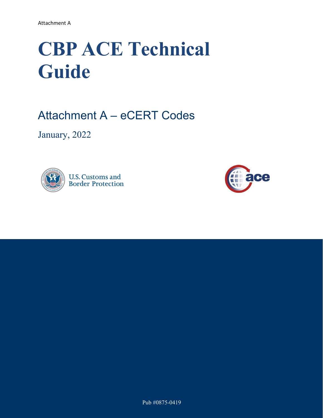# **CBP ACE Technical Guide**

Attachment A – eCERT Codes

January, 2022



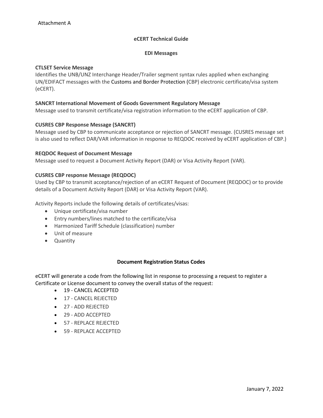# **eCERT Technical Guide**

#### **EDI Messages**

#### **CTLSET Service Message**

Identifies the UNB/UNZ Interchange Header/Trailer segment syntax rules applied when exchanging UN/EDIFACT messages with the Customs and Border Protection (CBP) electronic certificate/visa system (eCERT).

## **SANCRT International Movement of Goods Government Regulatory Message**

Message used to transmit certificate/visa registration information to the eCERT application of CBP.

## **CUSRES CBP Response Message (SANCRT)**

Message used by CBP to communicate acceptance or rejection of SANCRT message. (CUSRES message set is also used to reflect DAR/VAR information in response to REQDOC received by eCERT application of CBP.)

## **REQDOC Request of Document Message**

Message used to request a Document Activity Report (DAR) or Visa Activity Report (VAR).

#### **CUSRES CBP response Message (REQDOC)**

Used by CBP to transmit acceptance/rejection of an eCERT Request of Document (REQDOC) or to provide details of a Document Activity Report (DAR) or Visa Activity Report (VAR).

Activity Reports include the following details of certificates/visas:

- Unique certificate/visa number
- Entry numbers/lines matched to the certificate/visa
- Harmonized Tariff Schedule (classification) number
- Unit of measure
- Quantity

#### **Document Registration Status Codes**

eCERT will generate a code from the following list in response to processing a request to register a Certificate or License document to convey the overall status of the request:

- 19 CANCEL ACCEPTED
- 17 CANCEL REJECTED
- 27 ADD REJECTED
- 29 ADD ACCEPTED
- 57 REPLACE REJECTED
- 59 REPLACE ACCEPTED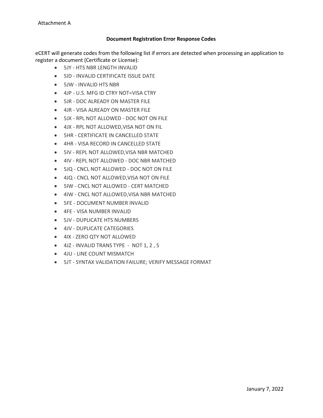# **Document Registration Error Response Codes**

eCERT will generate codes from the following list if errors are detected when processing an application to register a document (Certificate or License):

- 5JY HTS NBR LENGTH INVALID
	- 5ID INVALID CERTIFICATE ISSUE DATE
	- 5JW INVALID HTS NBR
	- 4JP U.S. MFG ID CTRY NOT=VISA CTRY
	- 5JR DOC ALREADY ON MASTER FILE
	- 4JR VISA ALREADY ON MASTER FILE
	- 5JX RPL NOT ALLOWED DOC NOT ON FILE
	- 4JX RPL NOT ALLOWED,VISA NOT ON FIL
	- 5HR CERTIFICATE IN CANCELLED STATE
	- 4HR VISA RECORD IN CANCELLED STATE
	- 5IV REPL NOT ALLOWED,VISA NBR MATCHED
	- 4IV REPL NOT ALLOWED DOC NBR MATCHED
	- 5JQ CNCL NOT ALLOWED DOC NOT ON FILE
	- 4JQ CNCL NOT ALLOWED,VISA NOT ON FILE
	- 5IW CNCL NOT ALLOWED CERT MATCHED
	- 4IW CNCL NOT ALLOWED,VISA NBR MATCHED
	- 5FE DOCUMENT NUMBER INVALID
	- 4FE VISA NUMBER INVALID
	- 5JV DUPLICATE HTS NUMBERS
	- 4JV DUPLICATE CATEGORIES
	- 4IX ZERO QTY NOT ALLOWED
	- 4JZ INVALID TRANS TYPE NOT 1, 2 , 5
	- 4JU LINE COUNT MISMATCH
	- 5JT SYNTAX VALIDATION FAILURE; VERIFY MESSAGE FORMAT